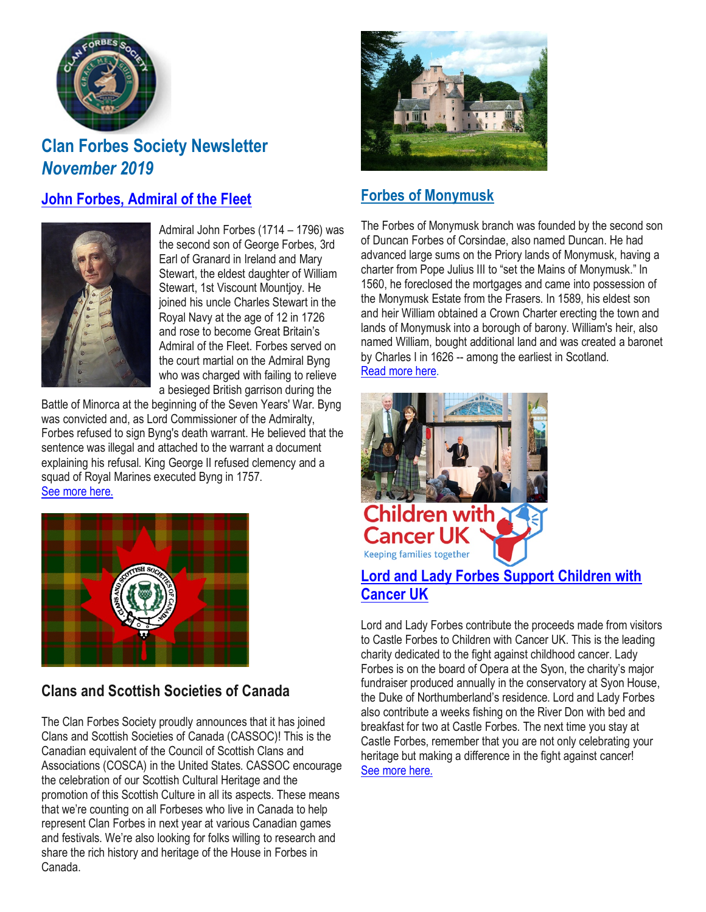

# **Clan Forbes Society Newsletter** *November 2019*

### **John Forbes, [Admiral](https://www.clan-forbes.org/admiral-john-forbes) of the Fleet**



Admiral John Forbes (1714 – 1796) was the second son of George Forbes, 3rd Earl of Granard in Ireland and Mary Stewart, the eldest daughter of William Stewart, 1st Viscount Mountjoy. He joined his uncle Charles Stewart in the Royal Navy at the age of 12 in 1726 and rose to become Great Britain's Admiral of the Fleet. Forbes served on the court martial on the Admiral Byng who was charged with failing to relieve a besieged British garrison during the

Battle of Minorca at the beginning of the Seven Years' War. Byng was convicted and, as Lord Commissioner of the Admiralty, Forbes refused to sign Byng's death warrant. He believed that the sentence was illegal and attached to the warrant a document explaining his refusal. King George II refused clemency and a squad of Royal Marines executed Byng in 1757. See [more](https://www.clan-forbes.org/admiral-john-forbes) here.



## **Clans and Scottish Societies of Canada**

The Clan Forbes Society proudly announces that it has joined Clans and Scottish Societies of Canada (CASSOC)! This is the Canadian equivalent of the Council of Scottish Clans and Associations (COSCA) in the United States. CASSOC encourage the celebration of our Scottish Cultural Heritage and the promotion of this Scottish Culture in all its aspects. These means that we're counting on all Forbeses who live in Canada to help represent Clan Forbes in next year at various Canadian games and festivals. We're also looking for folks willing to research and share the rich history and heritage of the House in Forbes in Canada.



### **Forbes of [Monymusk](https://www.clan-forbes.org/post/forbes-of-monymusk)**

The Forbes of Monymusk branch was founded by the second son of Duncan Forbes of Corsindae, also named Duncan. He had advanced large sums on the Priory lands of Monymusk, having a charter from Pope Julius III to "set the Mains of Monymusk." In 1560, he foreclosed the mortgages and came into possession of the Monymusk Estate from the Frasers. In 1589, his eldest son and heir William obtained a Crown Charter erecting the town and lands of Monymusk into a borough of barony. William's heir, also named William, bought additional land and was created a baronet by Charles I in 1626 -- among the earliest in Scotland. [Read](https://www.clan-forbes.org/post/forbes-of-monymusk) more here.



### **Lord and Lady Forbes Support [Children](https://www.clan-forbes.org/post/children-with-cancer) with [Cancer](https://www.clan-forbes.org/post/children-with-cancer) UK**

Lord and Lady Forbes contribute the proceeds made from visitors to Castle Forbes to Children with Cancer UK. This is the leading charity dedicated to the fight against childhood cancer. Lady Forbes is on the board of Opera at the Syon, the charity's major fundraiser produced annually in the conservatory at Syon House, the Duke of Northumberland's residence. Lord and Lady Forbes also contribute a weeks fishing on the River Don with bed and breakfast for two at Castle Forbes. The next time you stay at Castle Forbes, remember that you are not only celebrating your heritage but making a difference in the fight against cancer! See [more](https://www.clan-forbes.org/post/children-with-cancer) here.